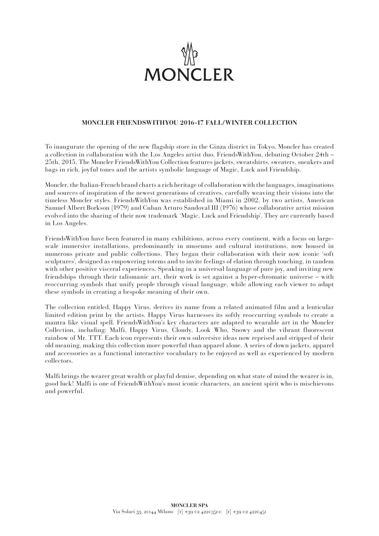

## **MONCLER FRIENDSWITHYOU 2016-17 FALL/WINTER COLLECTION**

To inaugurate the opening of the new flagship store in the Ginza district in Tokyo, Moncler has created a collection in collaboration with the Los Angeles artist duo, FriendsWithYou, debuting October 24th – 25th, 2015. The Moncler FriendsWithYou Collection features jackets, sweatshirts, sweaters, sneakers and bags in rich, joyful tones and the artists symbolic language of Magic, Luck and Friendship.

Moncler, the Italian-French brand charts a rich heritage of collaboration with the languages, imaginations and sources of inspiration of the newest generations of creatives, carefully weaving their visions into the timeless Moncler styles. FriendsWithYou was established in Miami in 2002, by two artists, American Samuel Albert Borkson (1979) and Cuban Arturo Sandoval III (1976) whose collaborative artist mission evolved into the sharing of their now trademark 'Magic, Luck and Friendship'. They are currently based in Los Angeles.

FriendsWithYou have been featured in many exhibitions, across every continent, with a focus on largescale immersive installations, predominantly in museums and cultural institutions, now housed in numerous private and public collections. They began their collaboration with their now iconic 'soft sculptures', designed as empowering totems and to invite feelings of elation through touching, in tandem with other positive visceral experiences. Speaking in a universal language of pure joy, and inviting new friendships through their talismanic art, their work is set against a hyper-chromatic universe – with reoccurring symbols that unify people through visual language, while allowing each viewer to adapt these symbols in creating a bespoke meaning of their own.

The collection entitled, Happy Virus, derives its name from a related animated film and a lenticular limited edition print by the artists. Happy Virus harnesses its softly reoccurring symbols to create a mantra like visual spell. FriendsWithYou's key characters are adapted to wearable art in the Moncler Collection, including: Malfi, Happy Virus, Cloudy, Look Who, Snowy and the vibrant fluorescent rainbow of Mr. TTT. Each icon represents their own subversive ideas now reprised and stripped of their old meaning, making this collection more powerful than apparel alone. A series of down jackets, apparel and accessories as a functional interactive vocabulary to be enjoyed as well as experienced by modern collectors.

Malfi brings the wearer great wealth or playful demise, depending on what state of mind the wearer is in, good luck! Malfi is one of FriendsWithYou's most iconic characters, an ancient spirit who is mischievous and powerful.